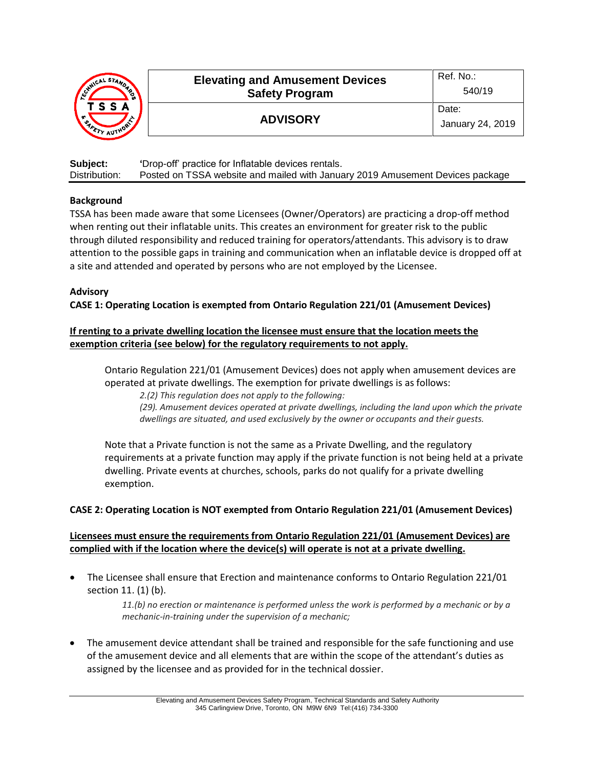| MNICAL STANDA<br>′ે \<br>.c<br>TSSA<br>$\mathcal{F}_{\mathcal{A}_{\mathcal{A}_{\mathcal{A}}}}$<br>STY AUTHORY | <b>Elevating and Amusement Devices</b><br><b>Safety Program</b> | Ref. No.:<br>540/19       |
|---------------------------------------------------------------------------------------------------------------|-----------------------------------------------------------------|---------------------------|
|                                                                                                               | <b>ADVISORY</b>                                                 | Date:<br>January 24, 2019 |

| Subject:      | 'Drop-off' practice for Inflatable devices rentals.                           |
|---------------|-------------------------------------------------------------------------------|
| Distribution: | Posted on TSSA website and mailed with January 2019 Amusement Devices package |

# **Background**

TSSA has been made aware that some Licensees (Owner/Operators) are practicing a drop-off method when renting out their inflatable units. This creates an environment for greater risk to the public through diluted responsibility and reduced training for operators/attendants. This advisory is to draw attention to the possible gaps in training and communication when an inflatable device is dropped off at a site and attended and operated by persons who are not employed by the Licensee.

## **Advisory**

**CASE 1: Operating Location is exempted from Ontario Regulation 221/01 (Amusement Devices)**

# **If renting to a private dwelling location the licensee must ensure that the location meets the exemption criteria (see below) for the regulatory requirements to not apply.**

Ontario Regulation 221/01 (Amusement Devices) does not apply when amusement devices are operated at private dwellings. The exemption for private dwellings is as follows:

*2.(2) This regulation does not apply to the following:*

*(29). Amusement devices operated at private dwellings, including the land upon which the private dwellings are situated, and used exclusively by the owner or occupants and their guests.*

Note that a Private function is not the same as a Private Dwelling, and the regulatory requirements at a private function may apply if the private function is not being held at a private dwelling. Private events at churches, schools, parks do not qualify for a private dwelling exemption.

## **CASE 2: Operating Location is NOT exempted from Ontario Regulation 221/01 (Amusement Devices)**

# **Licensees must ensure the requirements from Ontario Regulation 221/01 (Amusement Devices) are complied with if the location where the device(s) will operate is not at a private dwelling.**

• The Licensee shall ensure that Erection and maintenance conforms to Ontario Regulation 221/01 section 11. (1) (b).

> *11.(b) no erection or maintenance is performed unless the work is performed by a mechanic or by a mechanic-in-training under the supervision of a mechanic;*

• The amusement device attendant shall be trained and responsible for the safe functioning and use of the amusement device and all elements that are within the scope of the attendant's duties as assigned by the licensee and as provided for in the technical dossier.